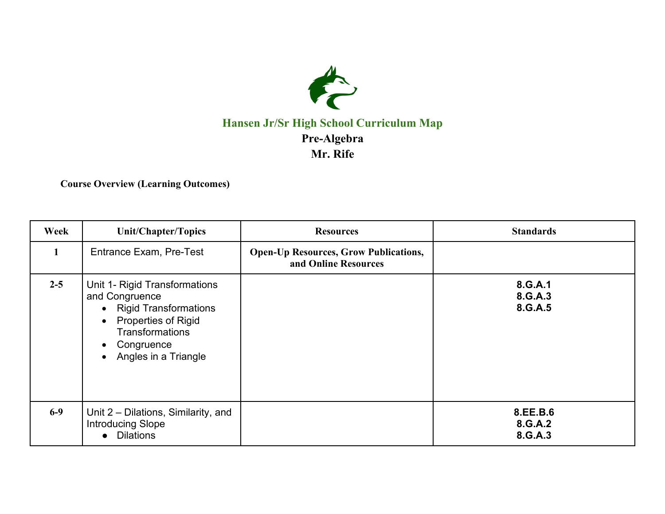

## **Hansen Jr/Sr High School Curriculum Map Pre-Algebra Mr. Rife**

**Course Overview (Learning Outcomes)**

| Week         | Unit/Chapter/Topics                                                                                                                                                                                      | <b>Resources</b>                                                     | <b>Standards</b>               |
|--------------|----------------------------------------------------------------------------------------------------------------------------------------------------------------------------------------------------------|----------------------------------------------------------------------|--------------------------------|
| $\mathbf{1}$ | <b>Entrance Exam, Pre-Test</b>                                                                                                                                                                           | <b>Open-Up Resources, Grow Publications,</b><br>and Online Resources |                                |
| $2 - 5$      | Unit 1- Rigid Transformations<br>and Congruence<br>• Rigid Transformations<br>Properties of Rigid<br>$\bullet$<br><b>Transformations</b><br>Congruence<br>$\bullet$<br>Angles in a Triangle<br>$\bullet$ |                                                                      | 8.G.A.1<br>8.G.A.3<br>8.G.A.5  |
| $6-9$        | Unit 2 – Dilations, Similarity, and<br><b>Introducing Slope</b><br><b>Dilations</b><br>$\bullet$                                                                                                         |                                                                      | 8.EE.B.6<br>8.G.A.2<br>8.G.A.3 |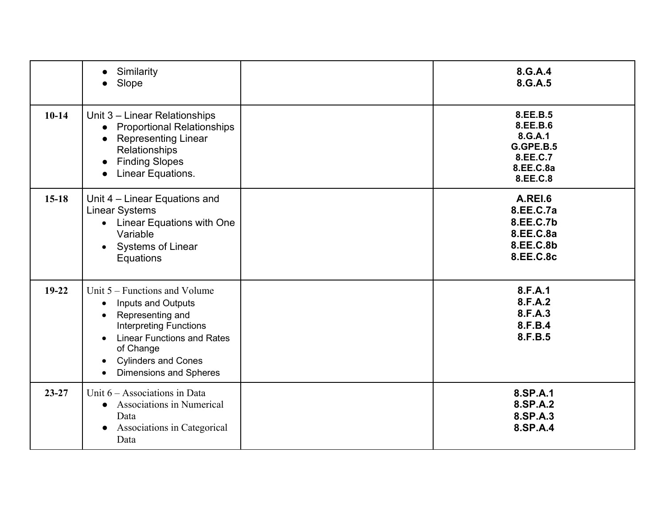|           | Similarity<br>Slope<br>$\bullet$                                                                                                                                                                                                                                                | 8.G.A.4<br>8.G.A.5                                                                |
|-----------|---------------------------------------------------------------------------------------------------------------------------------------------------------------------------------------------------------------------------------------------------------------------------------|-----------------------------------------------------------------------------------|
| $10-14$   | Unit 3 - Linear Relationships<br><b>Proportional Relationships</b><br>$\bullet$<br><b>Representing Linear</b><br>Relationships<br><b>Finding Slopes</b><br>$\bullet$<br>Linear Equations.<br>$\bullet$                                                                          | 8.EE.B.5<br>8.EE.B.6<br>8.G.A.1<br>G.GPE.B.5<br>8.EE.C.7<br>8.EE.C.8a<br>8.EE.C.8 |
| $15-18$   | Unit 4 - Linear Equations and<br><b>Linear Systems</b><br><b>Linear Equations with One</b><br>$\bullet$<br>Variable<br>Systems of Linear<br>$\bullet$<br>Equations                                                                                                              | A.REI.6<br>8.EE.C.7a<br>8.EE.C.7b<br>8.EE.C.8a<br>8.EE.C.8b<br>8.EE.C.8c          |
| $19-22$   | Unit $5 -$ Functions and Volume<br>Inputs and Outputs<br>$\bullet$<br>Representing and<br><b>Interpreting Functions</b><br><b>Linear Functions and Rates</b><br>$\bullet$<br>of Change<br><b>Cylinders and Cones</b><br>$\bullet$<br><b>Dimensions and Spheres</b><br>$\bullet$ | 8.F.A.1<br>8.F.A.2<br>8.F.A.3<br>8.F.B.4<br>8.F.B.5                               |
| $23 - 27$ | Unit $6 -$ Associations in Data<br>Associations in Numerical<br>$\bullet$<br>Data<br>Associations in Categorical<br>$\bullet$<br>Data                                                                                                                                           | 8.SP.A.1<br>8.SP.A.2<br>8.SP.A.3<br>8.SP.A.4                                      |